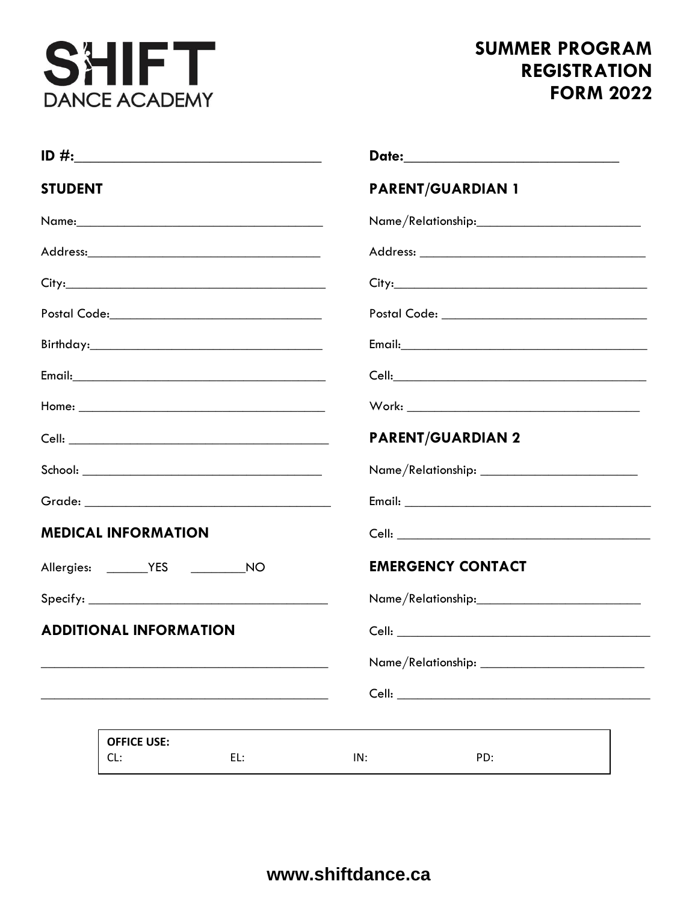

## **SUMMER PROGRAM REGISTRATION FORM 2022**

| <b>STUDENT</b>                |                           |     | <b>PARENT/GUARDIAN 1</b>                       |     |  |  |
|-------------------------------|---------------------------|-----|------------------------------------------------|-----|--|--|
|                               |                           |     | Name/Relationship:____________________________ |     |  |  |
|                               |                           |     |                                                |     |  |  |
|                               |                           |     |                                                |     |  |  |
|                               |                           |     |                                                |     |  |  |
|                               |                           |     |                                                |     |  |  |
|                               |                           |     |                                                |     |  |  |
|                               |                           |     |                                                |     |  |  |
|                               |                           |     | <b>PARENT/GUARDIAN 2</b>                       |     |  |  |
|                               |                           |     |                                                |     |  |  |
|                               |                           |     |                                                |     |  |  |
| <b>MEDICAL INFORMATION</b>    |                           |     |                                                |     |  |  |
|                               |                           |     | <b>EMERGENCY CONTACT</b>                       |     |  |  |
|                               |                           |     |                                                |     |  |  |
| <b>ADDITIONAL INFORMATION</b> |                           |     |                                                |     |  |  |
|                               |                           |     |                                                |     |  |  |
|                               |                           |     |                                                |     |  |  |
|                               |                           |     |                                                |     |  |  |
|                               | <b>OFFICE USE:</b><br>CL: | EL: | IN:                                            | PD: |  |  |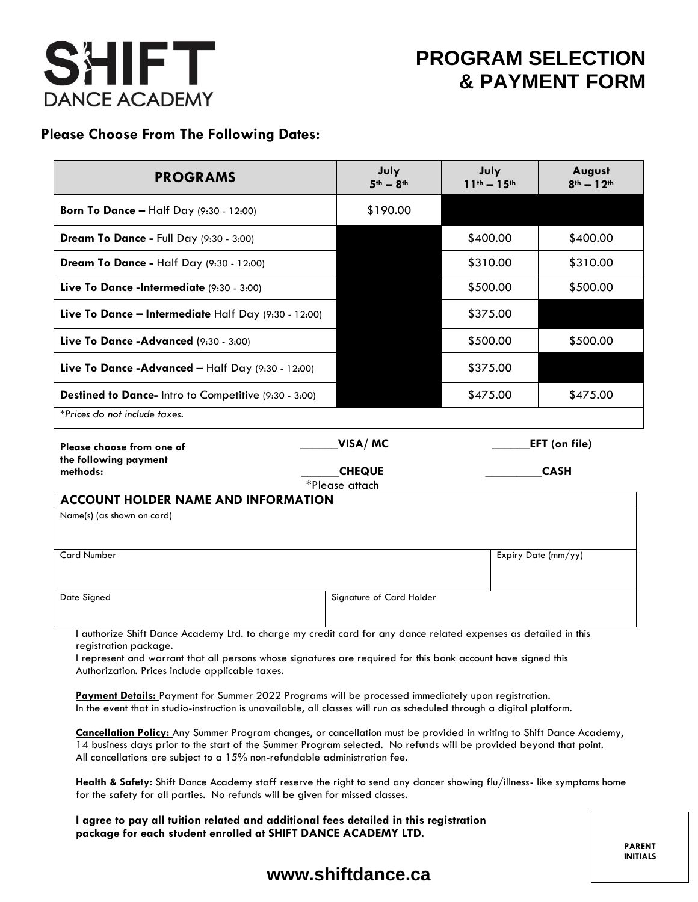

# **PROGRAM SELECTION & PAYMENT FORM**

### **Please Choose From The Following Dates:**

| <b>PROGRAMS</b>                                                                                                  | July<br>$5th - 8th$      | July<br>$11^{th} - 15^{th}$         | August<br>$8^{th} - 12^{th}$ |  |  |  |
|------------------------------------------------------------------------------------------------------------------|--------------------------|-------------------------------------|------------------------------|--|--|--|
| <b>Born To Dance - Half Day (9:30 - 12:00)</b>                                                                   | \$190.00                 |                                     |                              |  |  |  |
| Dream To Dance - Full Day (9:30 - 3:00)                                                                          |                          | \$400.00                            | \$400.00                     |  |  |  |
| Dream To Dance - Half Day (9:30 - 12:00)                                                                         |                          | \$310.00                            | \$310.00                     |  |  |  |
| Live To Dance -Intermediate (9:30 - 3:00)                                                                        |                          | \$500.00                            | \$500.00                     |  |  |  |
| Live To Dance - Intermediate Half Day (9:30 - 12:00)                                                             |                          | \$375.00                            |                              |  |  |  |
| Live To Dance -Advanced (9:30 - 3:00)                                                                            |                          | \$500.00                            | \$500.00                     |  |  |  |
| Live To Dance -Advanced - Half Day (9:30 - 12:00)                                                                |                          | \$375.00                            |                              |  |  |  |
| Destined to Dance- Intro to Competitive (9:30 - 3:00)                                                            |                          | \$475.00                            | \$475.00                     |  |  |  |
| *Prices do not include taxes.                                                                                    |                          |                                     |                              |  |  |  |
| Please choose from one of<br>the following payment<br>methods:                                                   | VISA/MC<br><b>CHEQUE</b> | <b>EFT</b> (on file)<br><b>CASH</b> |                              |  |  |  |
| *Please attach                                                                                                   |                          |                                     |                              |  |  |  |
| <b>ACCOUNT HOLDER NAME AND INFORMATION</b>                                                                       |                          |                                     |                              |  |  |  |
| Name(s) (as shown on card)                                                                                       |                          |                                     |                              |  |  |  |
| <b>Card Number</b>                                                                                               | Expiry Date (mm/yy)      |                                     |                              |  |  |  |
| Date Signed                                                                                                      | Signature of Card Holder |                                     |                              |  |  |  |
| I authorize Shift Dance Academy Ltd. to charge my credit card for any dance related expenses as detailed in this |                          |                                     |                              |  |  |  |

registration package.

I represent and warrant that all persons whose signatures are required for this bank account have signed this Authorization. Prices include applicable taxes.

Payment Details: Payment for Summer 2022 Programs will be processed immediately upon registration. In the event that in studio-instruction is unavailable, all classes will run as scheduled through a digital platform.

**Cancellation Policy:** Any Summer Program changes, or cancellation must be provided in writing to Shift Dance Academy, 14 business days prior to the start of the Summer Program selected. No refunds will be provided beyond that point. All cancellations are subject to a 15% non-refundable administration fee.

**Health & Safety:** Shift Dance Academy staff reserve the right to send any dancer showing flu/illness- like symptoms home for the safety for all parties. No refunds will be given for missed classes.

**I agree to pay all tuition related and additional fees detailed in this registration package for each student enrolled at SHIFT DANCE ACADEMY LTD.**

> **PARENT INITIALS**

### **[www.shiftdance.ca](http://www.shiftdance.ca/)**